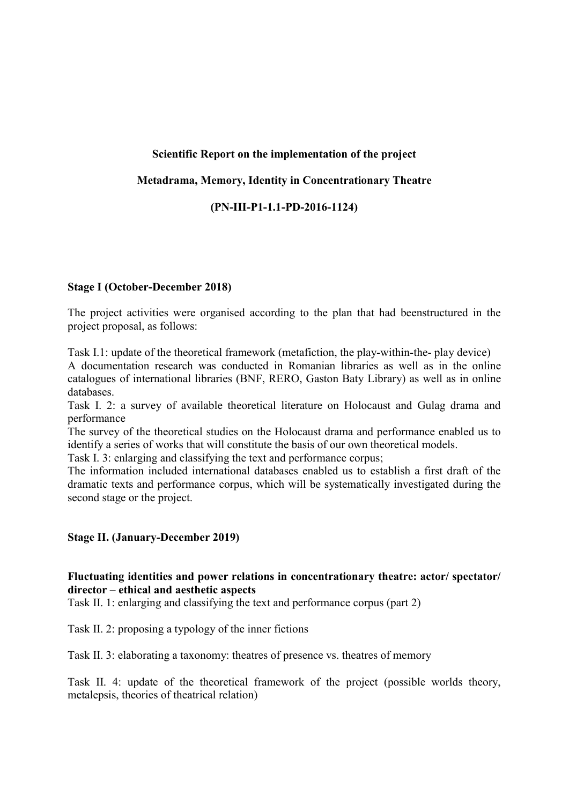## Scientific Report on the implementation of the project

### Metadrama, Memory, Identity in Concentrationary Theatre

### (PN-III-P1-1.1-PD-2016-1124)

### Stage I (October-December 2018)

The project activities were organised according to the plan that had beenstructured in the project proposal, as follows:

Task I.1: update of the theoretical framework (metafiction, the play-within-the- play device) A documentation research was conducted in Romanian libraries as well as in the online catalogues of international libraries (BNF, RERO, Gaston Baty Library) as well as in online databases.

Task I. 2: a survey of available theoretical literature on Holocaust and Gulag drama and performance

The survey of the theoretical studies on the Holocaust drama and performance enabled us to identify a series of works that will constitute the basis of our own theoretical models.

Task I. 3: enlarging and classifying the text and performance corpus;

The information included international databases enabled us to establish a first draft of the dramatic texts and performance corpus, which will be systematically investigated during the second stage or the project.

#### Stage II. (January-December 2019)

## Fluctuating identities and power relations in concentrationary theatre: actor/ spectator/ director – ethical and aesthetic aspects

Task II. 1: enlarging and classifying the text and performance corpus (part 2)

Task II. 2: proposing a typology of the inner fictions

Task II. 3: elaborating a taxonomy: theatres of presence vs. theatres of memory

Task II. 4: update of the theoretical framework of the project (possible worlds theory, metalepsis, theories of theatrical relation)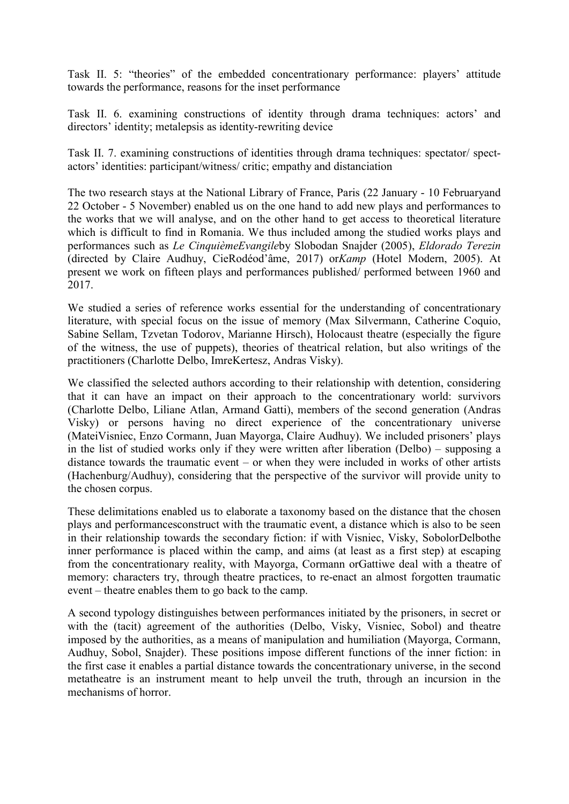Task II. 5: "theories" of the embedded concentrationary performance: players' attitude towards the performance, reasons for the inset performance

Task II. 6. examining constructions of identity through drama techniques: actors' and directors' identity; metalepsis as identity-rewriting device

Task II. 7. examining constructions of identities through drama techniques: spectator/ spectactors' identities: participant/witness/ critic; empathy and distanciation

The two research stays at the National Library of France, Paris (22 January - 10 Februaryand 22 October - 5 November) enabled us on the one hand to add new plays and performances to the works that we will analyse, and on the other hand to get access to theoretical literature which is difficult to find in Romania. We thus included among the studied works plays and performances such as Le CinquièmeEvangileby Slobodan Snajder (2005), Eldorado Terezin (directed by Claire Audhuy, CieRodéod'âme, 2017) orKamp (Hotel Modern, 2005). At present we work on fifteen plays and performances published/ performed between 1960 and 2017.

We studied a series of reference works essential for the understanding of concentrationary literature, with special focus on the issue of memory (Max Silvermann, Catherine Coquio, Sabine Sellam, Tzvetan Todorov, Marianne Hirsch), Holocaust theatre (especially the figure of the witness, the use of puppets), theories of theatrical relation, but also writings of the practitioners (Charlotte Delbo, ImreKertesz, Andras Visky).

We classified the selected authors according to their relationship with detention, considering that it can have an impact on their approach to the concentrationary world: survivors (Charlotte Delbo, Liliane Atlan, Armand Gatti), members of the second generation (Andras Visky) or persons having no direct experience of the concentrationary universe (MateiVisniec, Enzo Cormann, Juan Mayorga, Claire Audhuy). We included prisoners' plays in the list of studied works only if they were written after liberation (Delbo) – supposing a distance towards the traumatic event – or when they were included in works of other artists (Hachenburg/Audhuy), considering that the perspective of the survivor will provide unity to the chosen corpus.

These delimitations enabled us to elaborate a taxonomy based on the distance that the chosen plays and performancesconstruct with the traumatic event, a distance which is also to be seen in their relationship towards the secondary fiction: if with Visniec, Visky, SobolorDelbothe inner performance is placed within the camp, and aims (at least as a first step) at escaping from the concentrationary reality, with Mayorga, Cormann orGattiwe deal with a theatre of memory: characters try, through theatre practices, to re-enact an almost forgotten traumatic event – theatre enables them to go back to the camp.

A second typology distinguishes between performances initiated by the prisoners, in secret or with the (tacit) agreement of the authorities (Delbo, Visky, Visniec, Sobol) and theatre imposed by the authorities, as a means of manipulation and humiliation (Mayorga, Cormann, Audhuy, Sobol, Snajder). These positions impose different functions of the inner fiction: in the first case it enables a partial distance towards the concentrationary universe, in the second metatheatre is an instrument meant to help unveil the truth, through an incursion in the mechanisms of horror.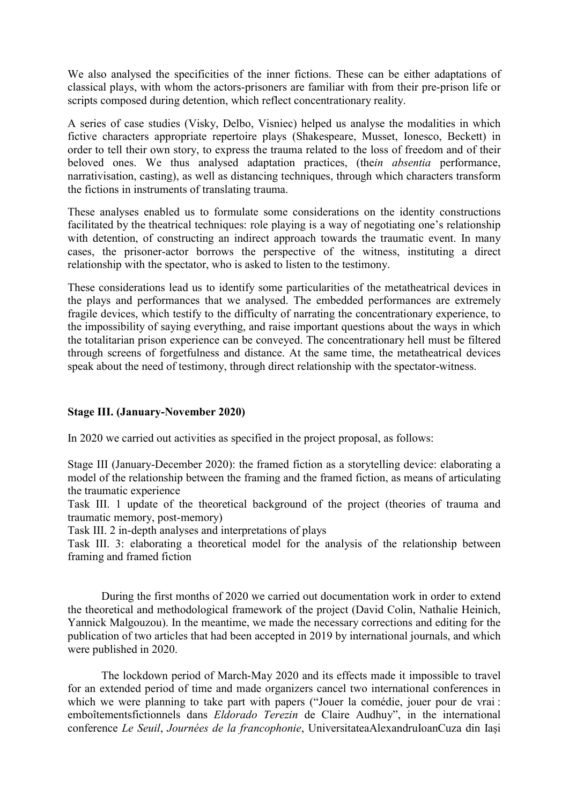We also analysed the specificities of the inner fictions. These can be either adaptations of classical plays, with whom the actors-prisoners are familiar with from their pre-prison life or scripts composed during detention, which reflect concentrationary reality.

A series of case studies (Visky, Delbo, Visniec) helped us analyse the modalities in which fictive characters appropriate repertoire plays (Shakespeare, Musset, Ionesco, Beckett) in order to tell their own story, to express the trauma related to the loss of freedom and of their beloved ones. We thus analysed adaptation practices, (thein absentia performance, narrativisation, casting), as well as distancing techniques, through which characters transform the fictions in instruments of translating trauma.

These analyses enabled us to formulate some considerations on the identity constructions facilitated by the theatrical techniques: role playing is a way of negotiating one's relationship with detention, of constructing an indirect approach towards the traumatic event. In many cases, the prisoner-actor borrows the perspective of the witness, instituting a direct relationship with the spectator, who is asked to listen to the testimony.

These considerations lead us to identify some particularities of the metatheatrical devices in the plays and performances that we analysed. The embedded performances are extremely fragile devices, which testify to the difficulty of narrating the concentrationary experience, to the impossibility of saying everything, and raise important questions about the ways in which the totalitarian prison experience can be conveyed. The concentrationary hell must be filtered through screens of forgetfulness and distance. At the same time, the metatheatrical devices speak about the need of testimony, through direct relationship with the spectator-witness.

# Stage III. (January-November 2020)

In 2020 we carried out activities as specified in the project proposal, as follows:

Stage III (January-December 2020): the framed fiction as a storytelling device: elaborating a model of the relationship between the framing and the framed fiction, as means of articulating the traumatic experience

Task III. 1 update of the theoretical background of the project (theories of trauma and traumatic memory, post-memory)

Task III. 2 in-depth analyses and interpretations of plays

Task III. 3: elaborating a theoretical model for the analysis of the relationship between framing and framed fiction

During the first months of 2020 we carried out documentation work in order to extend the theoretical and methodological framework of the project (David Colin, Nathalie Heinich, Yannick Malgouzou). In the meantime, we made the necessary corrections and editing for the publication of two articles that had been accepted in 2019 by international journals, and which were published in 2020.

The lockdown period of March-May 2020 and its effects made it impossible to travel for an extended period of time and made organizers cancel two international conferences in which we were planning to take part with papers ("Jouer la comédie, jouer pour de vrai : emboîtementsfictionnels dans Eldorado Terezin de Claire Audhuy", in the international conference Le Seuil, Journées de la francophonie, UniversitateaAlexandruIoanCuza din Iași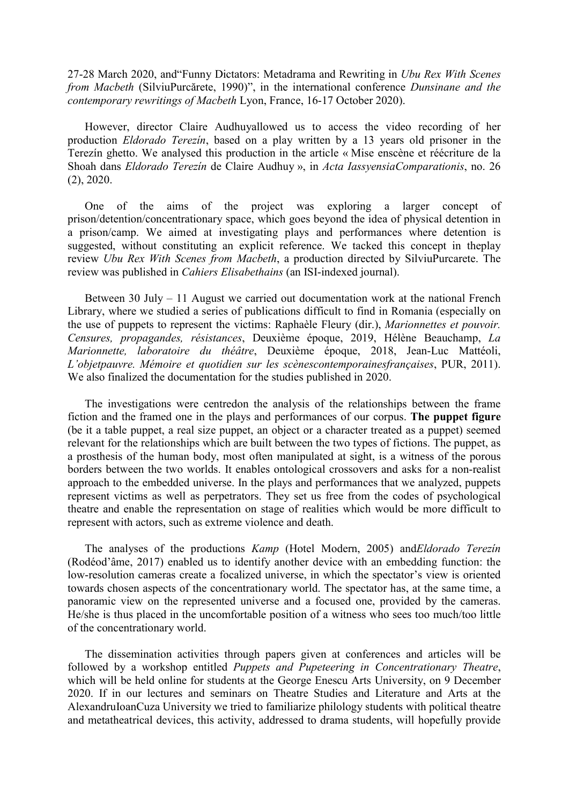27-28 March 2020, and"Funny Dictators: Metadrama and Rewriting in Ubu Rex With Scenes from Macbeth (SilviuPurcărete, 1990)", in the international conference Dunsinane and the contemporary rewritings of Macbeth Lyon, France, 16-17 October 2020).

However, director Claire Audhuyallowed us to access the video recording of her production Eldorado Terezín, based on a play written by a 13 years old prisoner in the Terezín ghetto. We analysed this production in the article « Mise enscène et réécriture de la Shoah dans Eldorado Terezín de Claire Audhuy », in Acta IassyensiaComparationis, no. 26 (2), 2020.

One of the aims of the project was exploring a larger concept of prison/detention/concentrationary space, which goes beyond the idea of physical detention in a prison/camp. We aimed at investigating plays and performances where detention is suggested, without constituting an explicit reference. We tacked this concept in theplay review Ubu Rex With Scenes from Macbeth, a production directed by SilviuPurcarete. The review was published in Cahiers Elisabethains (an ISI-indexed journal).

Between 30 July – 11 August we carried out documentation work at the national French Library, where we studied a series of publications difficult to find in Romania (especially on the use of puppets to represent the victims: Raphaèle Fleury (dir.), Marionnettes et pouvoir. Censures, propagandes, résistances, Deuxième époque, 2019, Hélène Beauchamp, La Marionnette, laboratoire du théâtre, Deuxième époque, 2018, Jean-Luc Mattéoli, L'objetpauvre. Mémoire et quotidien sur les scènescontemporainesfrançaises, PUR, 2011). We also finalized the documentation for the studies published in 2020.

The investigations were centredon the analysis of the relationships between the frame fiction and the framed one in the plays and performances of our corpus. The puppet figure (be it a table puppet, a real size puppet, an object or a character treated as a puppet) seemed relevant for the relationships which are built between the two types of fictions. The puppet, as a prosthesis of the human body, most often manipulated at sight, is a witness of the porous borders between the two worlds. It enables ontological crossovers and asks for a non-realist approach to the embedded universe. In the plays and performances that we analyzed, puppets represent victims as well as perpetrators. They set us free from the codes of psychological theatre and enable the representation on stage of realities which would be more difficult to represent with actors, such as extreme violence and death.

The analyses of the productions Kamp (Hotel Modern, 2005) andEldorado Terezín (Rodéod'âme, 2017) enabled us to identify another device with an embedding function: the low-resolution cameras create a focalized universe, in which the spectator's view is oriented towards chosen aspects of the concentrationary world. The spectator has, at the same time, a panoramic view on the represented universe and a focused one, provided by the cameras. He/she is thus placed in the uncomfortable position of a witness who sees too much/too little of the concentrationary world.

The dissemination activities through papers given at conferences and articles will be followed by a workshop entitled Puppets and Pupeteering in Concentrationary Theatre, which will be held online for students at the George Enescu Arts University, on 9 December 2020. If in our lectures and seminars on Theatre Studies and Literature and Arts at the AlexandruIoanCuza University we tried to familiarize philology students with political theatre and metatheatrical devices, this activity, addressed to drama students, will hopefully provide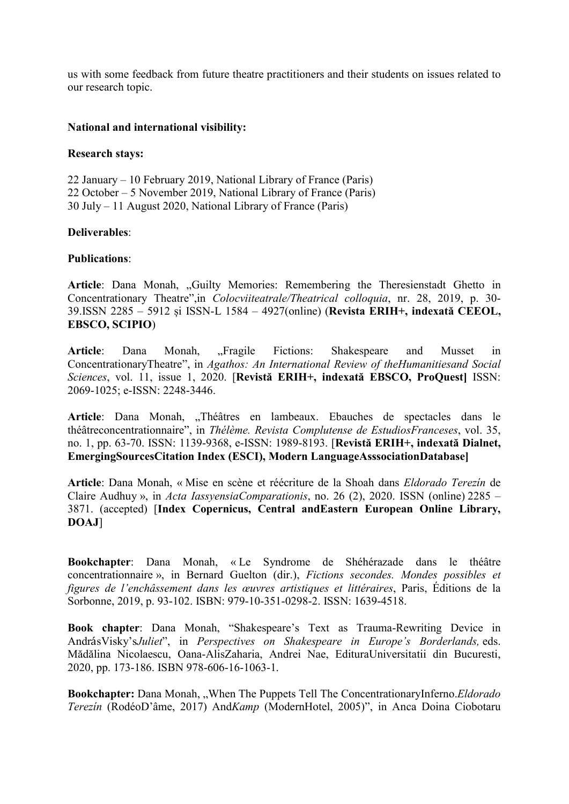us with some feedback from future theatre practitioners and their students on issues related to our research topic.

### National and international visibility:

### Research stays:

22 January – 10 February 2019, National Library of France (Paris) 22 October – 5 November 2019, National Library of France (Paris) 30 July – 11 August 2020, National Library of France (Paris)

## Deliverables:

### Publications:

Article: Dana Monah, "Guilty Memories: Remembering the Theresienstadt Ghetto in Concentrationary Theatre",in Colocviiteatrale/Theatrical colloquia, nr. 28, 2019, p. 30- 39.ISSN 2285 – 5912 și ISSN-L 1584 – 4927(online) (Revista ERIH+, indexată CEEOL, EBSCO, SCIPIO)

Article: Dana Monah, "Fragile Fictions: Shakespeare and Musset in ConcentrationaryTheatre", in Agathos: An International Review of theHumanitiesand Social Sciences, vol. 11, issue 1, 2020. [Revistă ERIH+, indexată EBSCO, ProQuest] ISSN: 2069-1025; e-ISSN: 2248-3446.

Article: Dana Monah, "Théâtres en lambeaux. Ebauches de spectacles dans le théâtreconcentrationnaire", in Thélème. Revista Complutense de EstudiosFranceses, vol. 35, no. 1, pp. 63-70. ISSN: 1139-9368, e-ISSN: 1989-8193. [Revistă ERIH+, indexată Dialnet, EmergingSourcesCitation Index (ESCI), Modern LanguageAsssociationDatabase]

Article: Dana Monah, « Mise en scène et réécriture de la Shoah dans Eldorado Terezín de Claire Audhuy », in Acta IassyensiaComparationis, no. 26 (2), 2020. ISSN (online) 2285 – 3871. (accepted) [Index Copernicus, Central andEastern European Online Library, DOAJ]

Bookchapter: Dana Monah, « Le Syndrome de Shéhérazade dans le théâtre concentrationnaire », in Bernard Guelton (dir.), Fictions secondes. Mondes possibles et figures de l'enchâssement dans les œuvres artistiques et littéraires, Paris, Éditions de la Sorbonne, 2019, p. 93-102. ISBN: 979-10-351-0298-2. ISSN: 1639-4518.

Book chapter: Dana Monah, "Shakespeare's Text as Trauma-Rewriting Device in AndrásVisky'sJuliet", in Perspectives on Shakespeare in Europe's Borderlands, eds. Mădălina Nicolaescu, Oana-AlisZaharia, Andrei Nae, EdituraUniversitatii din Bucuresti, 2020, pp. 173-186. ISBN 978-606-16-1063-1.

Bookchapter: Dana Monah, "When The Puppets Tell The ConcentrationaryInferno. Eldorado Terezín (RodéoD'âme, 2017) AndKamp (ModernHotel, 2005)", in Anca Doina Ciobotaru